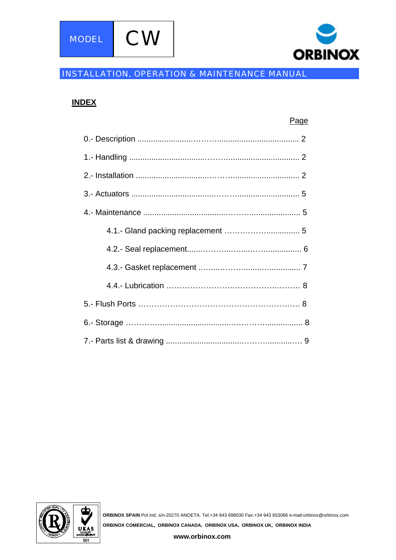

# INSTALLATION, OPERATION & MAINTENANCE MANUAL

# **INDEX**

| Page |
|------|
|      |
|      |
|      |
|      |
|      |
|      |
|      |
|      |
|      |
|      |
|      |
|      |



**ORBINOX SPAIN** Pol.Ind. s/n-20270 ANOETA. Tel:+34 943 698030 Fax:+34 943 653066 e-mail:orbinox@orbinox.com **ORBINOX COMERCIAL, ORBINOX CANADA, ORBINOX USA, ORBINOX UK, ORBINOX INDIA**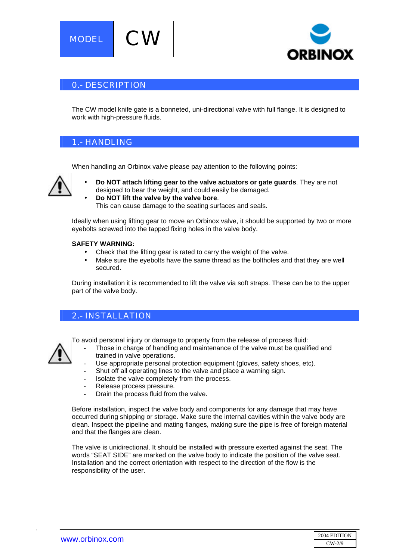



### 0.- DESCRIPTION

The CW model knife gate is a bonneted, uni-directional valve with full flange. It is designed to work with high-pressure fluids.

### 1.- HANDLING

When handling an Orbinox valve please pay attention to the following points:



- **Do NOT attach lifting gear to the valve actuators or gate guards**. They are not designed to bear the weight, and could easily be damaged.
- **Do NOT lift the valve by the valve bore**. This can cause damage to the seating surfaces and seals.

Ideally when using lifting gear to move an Orbinox valve, it should be supported by two or more eyebolts screwed into the tapped fixing holes in the valve body.

#### **SAFETY WARNING:**

- Check that the lifting gear is rated to carry the weight of the valve.
- Make sure the eyebolts have the same thread as the boltholes and that they are well secured.

During installation it is recommended to lift the valve via soft straps. These can be to the upper part of the valve body.

# 2.- INSTALLATION

To avoid personal injury or damage to property from the release of process fluid:

- Those in charge of handling and maintenance of the valve must be qualified and trained in valve operations.
- Use appropriate personal protection equipment (gloves, safety shoes, etc).
- Shut off all operating lines to the valve and place a warning sign.
- Isolate the valve completely from the process.
- Release process pressure.
- Drain the process fluid from the valve.

Before installation, inspect the valve body and components for any damage that may have occurred during shipping or storage. Make sure the internal cavities within the valve body are clean. Inspect the pipeline and mating flanges, making sure the pipe is free of foreign material and that the flanges are clean.

The valve is unidirectional. It should be installed with pressure exerted against the seat. The words "SEAT SIDE" are marked on the valve body to indicate the position of the valve seat. Installation and the correct orientation with respect to the direction of the flow is the responsibility of the user.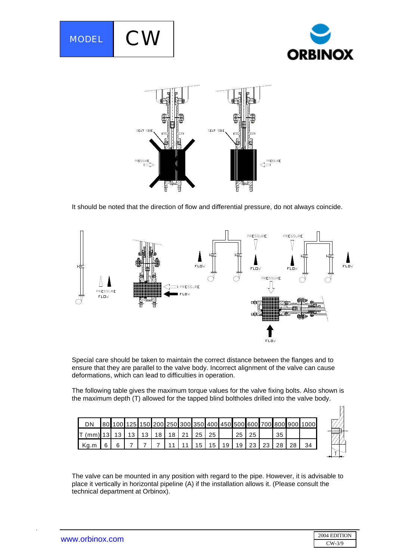



It should be noted that the direction of flow and differential pressure, do not always coincide.



Special care should be taken to maintain the correct distance between the flanges and to ensure that they are parallel to the valve body. Incorrect alignment of the valve can cause deformations, which can lead to difficulties in operation.

The following table gives the maximum torque values for the valve fixing bolts. Also shown is the maximum depth (T) allowed for the tapped blind boltholes drilled into the valve body.

| <b>DN</b>      |  |                 |    |                 |             |    |    |    |    |    |    | 80 100 125 150 200 250 300 350 400 450 500 600 700 800 900 1000 |
|----------------|--|-----------------|----|-----------------|-------------|----|----|----|----|----|----|-----------------------------------------------------------------|
| $T$ (mm) 13 13 |  | 13 <sub>1</sub> | 13 | 18 <sup>1</sup> | 18 21 25 25 |    |    |    | 25 | 25 | 35 |                                                                 |
| Ka.m           |  |                 |    |                 |             | 15 | 15 | 19 | 19 | 23 |    |                                                                 |

The valve can be mounted in any position with regard to the pipe. However, it is advisable to place it vertically in horizontal pipeline (A) if the installation allows it. (Please consult the technical department at Orbinox).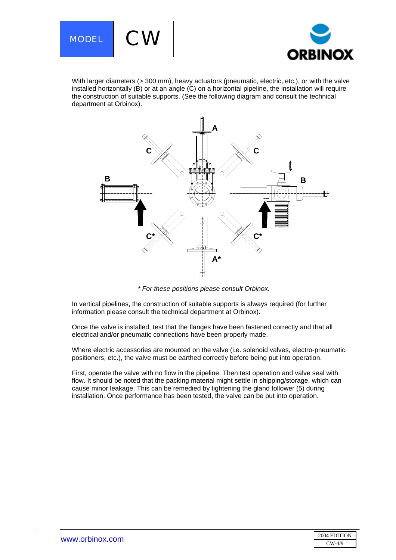



With larger diameters (> 300 mm), heavy actuators (pneumatic, electric, etc.), or with the valve installed horizontally (B) or at an angle (C) on a horizontal pipeline, the installation will require the construction of suitable supports. (See the following diagram and consult the technical department at Orbinox).



*\* For these positions please consult Orbinox.* 

In vertical pipelines, the construction of suitable supports is always required (for further information please consult the technical department at Orbinox).

Once the valve is installed, test that the flanges have been fastened correctly and that all electrical and/or pneumatic connections have been properly made.

Where electric accessories are mounted on the valve (i.e. solenoid valves, electro-pneumatic positioners, etc.), the valve must be earthed correctly before being put into operation.

First, operate the valve with no flow in the pipeline. Then test operation and valve seal with flow. It should be noted that the packing material might settle in shipping/storage, which can cause minor leakage. This can be remedied by tightening the gland follower (5) during installation. Once performance has been tested, the valve can be put into operation.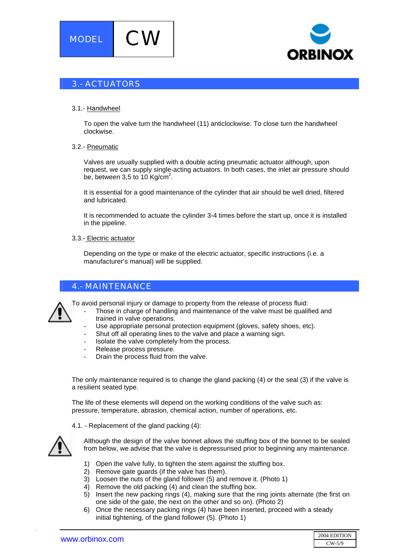



# 3.- ACTUATORS

#### 3.1.- Handwheel

To open the valve turn the handwheel (11) anticlockwise. To close turn the handwheel clockwise.

#### 3.2.- Pneumatic

Valves are usually supplied with a double acting pneumatic actuator although, upon request, we can supply single-acting actuators. In both cases, the inlet air pressure should be, between 3,5 to 10  $\text{Kg/cm}^2$ .

It is essential for a good maintenance of the cylinder that air should be well dried, filtered and lubricated.

It is recommended to actuate the cylinder 3-4 times before the start up, once it is installed in the pipeline.

#### 3.3.- Electric actuator

Depending on the type or make of the electric actuator, specific instructions (i.e. a manufacturer's manual) will be supplied.

### 4.- MAINTENANCE

To avoid personal injury or damage to property from the release of process fluid:

- Those in charge of handling and maintenance of the valve must be qualified and trained in valve operations.
	- Use appropriate personal protection equipment (gloves, safety shoes, etc).
- Shut off all operating lines to the valve and place a warning sign.
- Isolate the valve completely from the process.
- Release process pressure.
- Drain the process fluid from the valve.

The only maintenance required is to change the gland packing (4) or the seal (3) if the valve is a resilient seated type.

The life of these elements will depend on the working conditions of the valve such as: pressure, temperature, abrasion, chemical action, number of operations, etc.

#### 4.1. - Replacement of the gland packing (4):



.

Although the design of the valve bonnet allows the stuffing box of the bonnet to be sealed from below, we advise that the valve is depressurised prior to beginning any maintenance.

- 1) Open the valve fully, to tighten the stem against the stuffing box.
- 2) Remove gate guards (if the valve has them).
- 3) Loosen the nuts of the gland follower (5) and remove it. (Photo 1)
- 4) Remove the old packing (4) and clean the stuffing box.
- 5) Insert the new packing rings (4), making sure that the ring joints alternate (the first on one side of the gate, the next on the other and so on). (Photo 2)
- 6) Once the necessary packing rings (4) have been inserted, proceed with a steady initial tightening, of the gland follower (5). (Photo 1)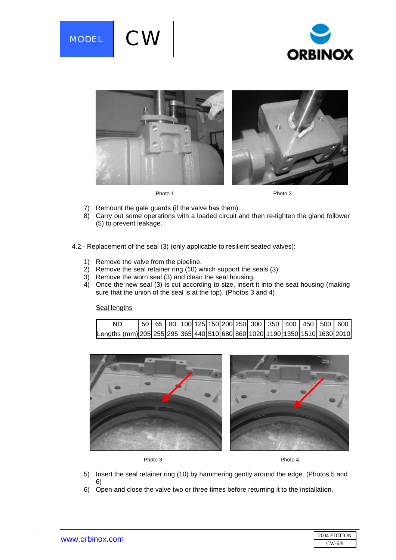





Photo 1 Photo 2

- 7) Remount the gate guards (if the valve has them).
- 8) Carry out some operations with a loaded circuit and then re-tighten the gland follower (5) to prevent leakage.
- 4.2.- Replacement of the seal (3) (only applicable to resilient seated valves):
	- 1) Remove the valve from the pipeline.
	- 2) Remove the seal retainer ring (10) which support the seals (3).
	- 3) Remove the worn seal (3) and clean the seal housing.
	- 4) Once the new seal (3) is cut according to size, insert it into the seat housing (making sure that the union of the seal is at the top). (Photos 3 and 4)

Seal lengths





Photo 3 Photo 4

- 5) Insert the seal retainer ring (10) by hammering gently around the edge. (Photos 5 and 6)
- 6) Open and close the valve two or three times before returning it to the installation.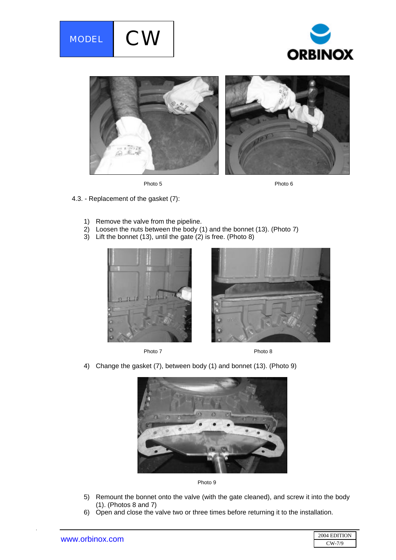







- 4.3. Replacement of the gasket (7):
	- 1) Remove the valve from the pipeline.
	- 2) Loosen the nuts between the body (1) and the bonnet (13). (Photo 7)
	- 3) Lift the bonnet (13), until the gate  $(2)$  is free. (Photo 8)







4) Change the gasket (7), between body (1) and bonnet (13). (Photo 9)





- 5) Remount the bonnet onto the valve (with the gate cleaned), and screw it into the body (1). (Photos 8 and 7)
- 6) Open and close the valve two or three times before returning it to the installation.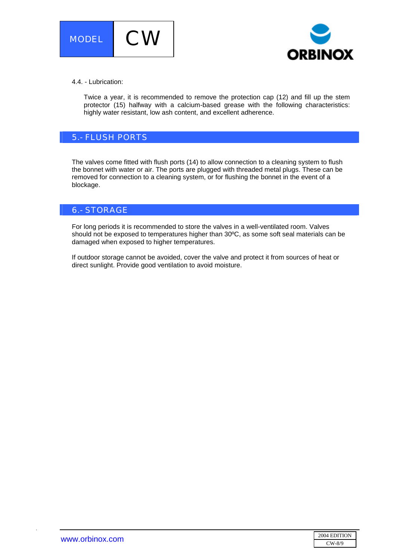



#### 4.4. - Lubrication:

Twice a year, it is recommended to remove the protection cap (12) and fill up the stem protector (15) halfway with a calcium-based grease with the following characteristics: highly water resistant, low ash content, and excellent adherence.

## 5.- FLUSH PORTS

The valves come fitted with flush ports (14) to allow connection to a cleaning system to flush the bonnet with water or air. The ports are plugged with threaded metal plugs. These can be removed for connection to a cleaning system, or for flushing the bonnet in the event of a blockage.

## 6.- STORAGE

For long periods it is recommended to store the valves in a well-ventilated room. Valves should not be exposed to temperatures higher than 30ºC, as some soft seal materials can be damaged when exposed to higher temperatures.

If outdoor storage cannot be avoided, cover the valve and protect it from sources of heat or direct sunlight. Provide good ventilation to avoid moisture.